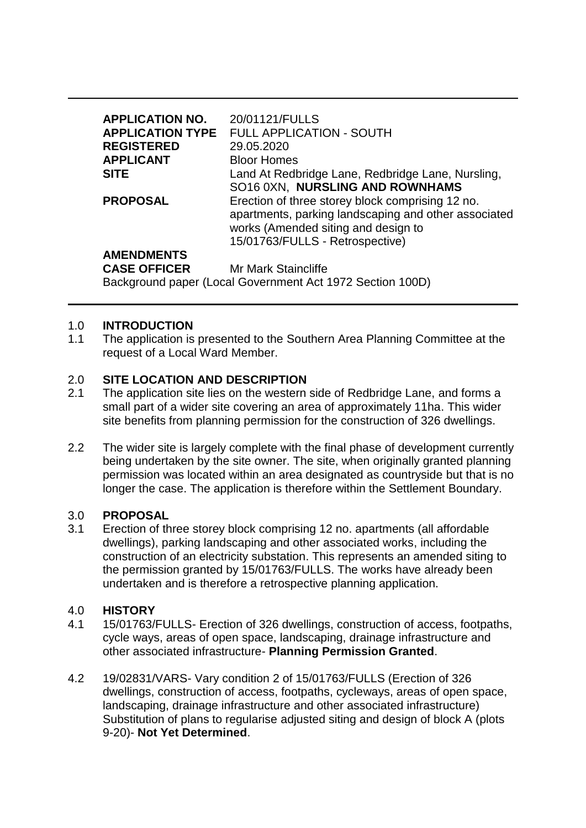| 20/01121/FULLS                                       |
|------------------------------------------------------|
| <b>APPLICATION TYPE FULL APPLICATION - SOUTH</b>     |
| 29.05.2020                                           |
| <b>Bloor Homes</b>                                   |
| Land At Redbridge Lane, Redbridge Lane, Nursling,    |
| SO16 0XN, NURSLING AND ROWNHAMS                      |
| Erection of three storey block comprising 12 no.     |
| apartments, parking landscaping and other associated |
| works (Amended siting and design to                  |
| 15/01763/FULLS - Retrospective)                      |
|                                                      |
|                                                      |

**CASE OFFICER** Mr Mark Staincliffe

Background paper (Local Government Act 1972 Section 100D)

### 1.0 **INTRODUCTION**

1.1 The application is presented to the Southern Area Planning Committee at the request of a Local Ward Member.

## 2.0 **SITE LOCATION AND DESCRIPTION**

- 2.1 The application site lies on the western side of Redbridge Lane, and forms a small part of a wider site covering an area of approximately 11ha. This wider site benefits from planning permission for the construction of 326 dwellings.
- 2.2 The wider site is largely complete with the final phase of development currently being undertaken by the site owner. The site, when originally granted planning permission was located within an area designated as countryside but that is no longer the case. The application is therefore within the Settlement Boundary.

### 3.0 **PROPOSAL**

3.1 Erection of three storey block comprising 12 no. apartments (all affordable dwellings), parking landscaping and other associated works, including the construction of an electricity substation. This represents an amended siting to the permission granted by 15/01763/FULLS. The works have already been undertaken and is therefore a retrospective planning application.

# 4.0 **HISTORY**

- 4.1 15/01763/FULLS- Erection of 326 dwellings, construction of access, footpaths, cycle ways, areas of open space, landscaping, drainage infrastructure and other associated infrastructure- **Planning Permission Granted**.
- 4.2 19/02831/VARS- Vary condition 2 of 15/01763/FULLS (Erection of 326 dwellings, construction of access, footpaths, cycleways, areas of open space, landscaping, drainage infrastructure and other associated infrastructure) Substitution of plans to regularise adjusted siting and design of block A (plots 9-20)- **Not Yet Determined**.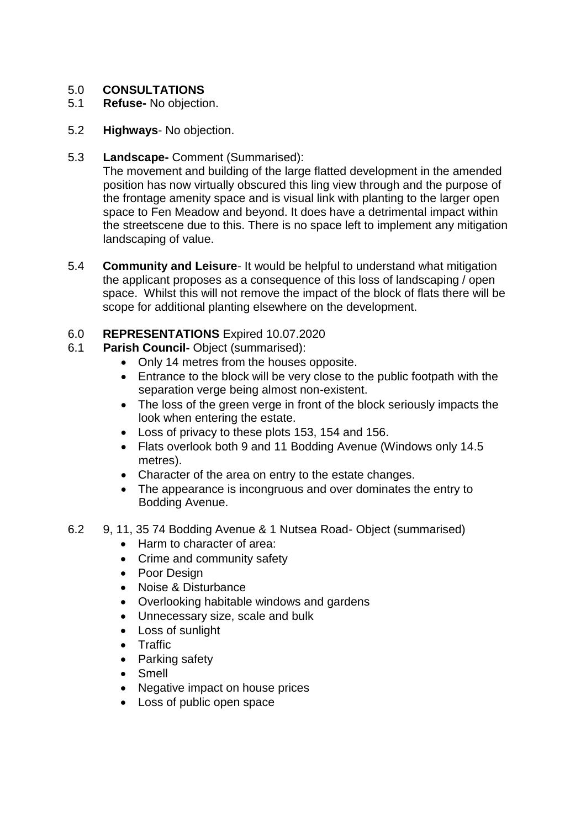# 5.0 **CONSULTATIONS**

- 5.1 **Refuse-** No objection.
- 5.2 **Highways** No objection.
- 5.3 **Landscape-** Comment (Summarised):

The movement and building of the large flatted development in the amended position has now virtually obscured this ling view through and the purpose of the frontage amenity space and is visual link with planting to the larger open space to Fen Meadow and beyond. It does have a detrimental impact within the streetscene due to this. There is no space left to implement any mitigation landscaping of value.

5.4 **Community and Leisure**- It would be helpful to understand what mitigation the applicant proposes as a consequence of this loss of landscaping / open space. Whilst this will not remove the impact of the block of flats there will be scope for additional planting elsewhere on the development.

## 6.0 **REPRESENTATIONS** Expired 10.07.2020

- 6.1 **Parish Council-** Object (summarised):
	- Only 14 metres from the houses opposite.
	- Entrance to the block will be very close to the public footpath with the separation verge being almost non-existent.
	- The loss of the green verge in front of the block seriously impacts the look when entering the estate.
	- Loss of privacy to these plots 153, 154 and 156.
	- Flats overlook both 9 and 11 Bodding Avenue (Windows only 14.5) metres).
	- Character of the area on entry to the estate changes.
	- The appearance is incongruous and over dominates the entry to Bodding Avenue.
- 6.2 9, 11, 35 74 Bodding Avenue & 1 Nutsea Road- Object (summarised)
	- Harm to character of area:
	- Crime and community safety
	- Poor Design
	- Noise & Disturbance
	- Overlooking habitable windows and gardens
	- Unnecessary size, scale and bulk
	- Loss of sunlight
	- Traffic
	- Parking safety
	- Smell
	- Negative impact on house prices
	- Loss of public open space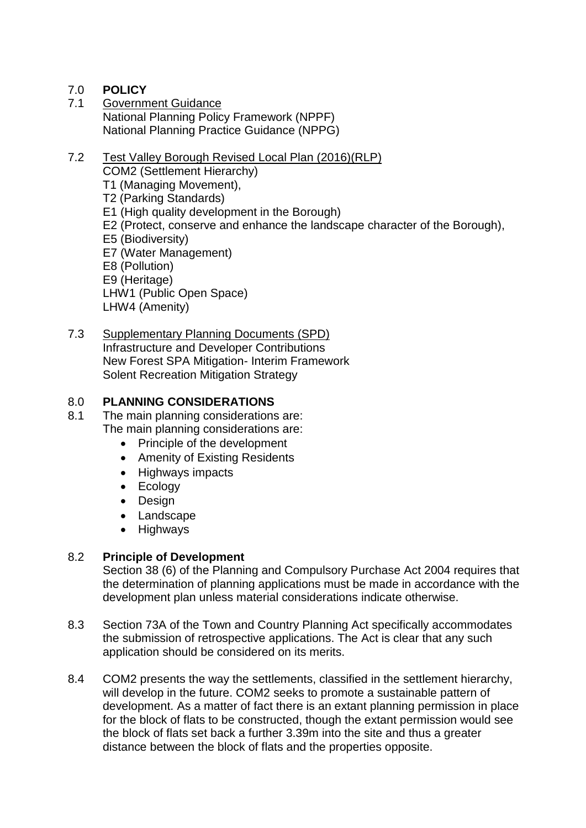# 7.0 **POLICY**

7.1 Government Guidance National Planning Policy Framework (NPPF) National Planning Practice Guidance (NPPG)

#### 7.2 Test Valley Borough Revised Local Plan (2016)(RLP) COM2 (Settlement Hierarchy) T1 (Managing Movement), T2 (Parking Standards) E1 (High quality development in the Borough) E2 (Protect, conserve and enhance the landscape character of the Borough), E5 (Biodiversity) E7 (Water Management) E8 (Pollution) E9 (Heritage) LHW1 (Public Open Space) LHW4 (Amenity)

7.3 Supplementary Planning Documents (SPD) Infrastructure and Developer Contributions New Forest SPA Mitigation- Interim Framework Solent Recreation Mitigation Strategy

## 8.0 **PLANNING CONSIDERATIONS**

8.1 The main planning considerations are: The main planning considerations are:

- Principle of the development
	-
	- Amenity of Existing Residents • Highways impacts
	-
	- Ecology
- Design
- Landscape
- Highways

# 8.2 **Principle of Development**

Section 38 (6) of the Planning and Compulsory Purchase Act 2004 requires that the determination of planning applications must be made in accordance with the development plan unless material considerations indicate otherwise.

- 8.3 Section 73A of the Town and Country Planning Act specifically accommodates the submission of retrospective applications. The Act is clear that any such application should be considered on its merits.
- 8.4 COM2 presents the way the settlements, classified in the settlement hierarchy, will develop in the future. COM2 seeks to promote a sustainable pattern of development. As a matter of fact there is an extant planning permission in place for the block of flats to be constructed, though the extant permission would see the block of flats set back a further 3.39m into the site and thus a greater distance between the block of flats and the properties opposite.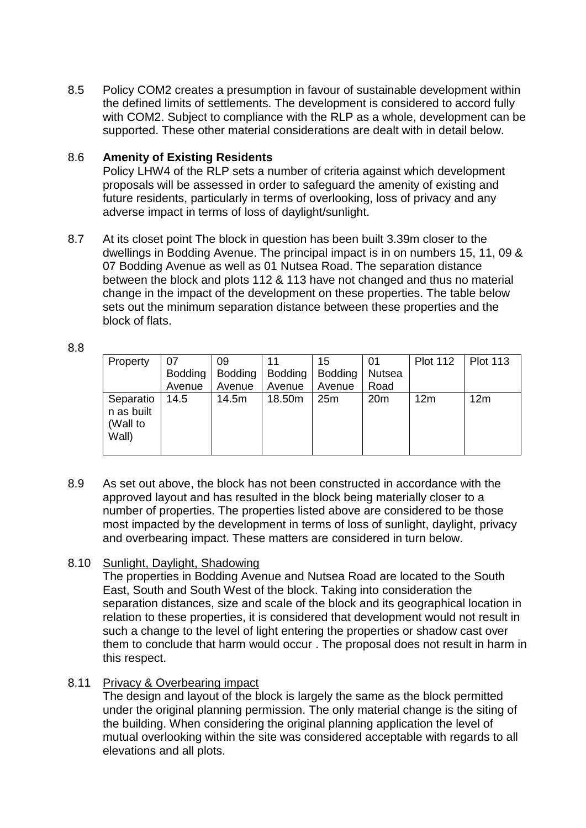8.5 Policy COM2 creates a presumption in favour of sustainable development within the defined limits of settlements. The development is considered to accord fully with COM2. Subject to compliance with the RLP as a whole, development can be supported. These other material considerations are dealt with in detail below.

## 8.6 **Amenity of Existing Residents**

Policy LHW4 of the RLP sets a number of criteria against which development proposals will be assessed in order to safeguard the amenity of existing and future residents, particularly in terms of overlooking, loss of privacy and any adverse impact in terms of loss of daylight/sunlight.

8.7 At its closet point The block in question has been built 3.39m closer to the dwellings in Bodding Avenue. The principal impact is in on numbers 15, 11, 09 & 07 Bodding Avenue as well as 01 Nutsea Road. The separation distance between the block and plots 112 & 113 have not changed and thus no material change in the impact of the development on these properties. The table below sets out the minimum separation distance between these properties and the block of flats.

| . .     |                   |
|---------|-------------------|
| ۰,<br>v | ٠<br>×<br>۰.<br>w |
|         |                   |

| Property                                     | 07<br><b>Bodding</b> | 09<br><b>Bodding</b> | <b>Bodding</b> | 15<br><b>Bodding</b> | 01<br><b>Nutsea</b> | <b>Plot 112</b> | <b>Plot 113</b> |
|----------------------------------------------|----------------------|----------------------|----------------|----------------------|---------------------|-----------------|-----------------|
|                                              | Avenue               | Avenue               | Avenue         | Avenue               | Road                |                 |                 |
| Separatio<br>n as built<br>(Wall to<br>Wall) | 14.5                 | 14.5m                | 18.50m         | 25m                  | 20 <sub>m</sub>     | 12 <sub>m</sub> | 12m             |

8.9 As set out above, the block has not been constructed in accordance with the approved layout and has resulted in the block being materially closer to a number of properties. The properties listed above are considered to be those most impacted by the development in terms of loss of sunlight, daylight, privacy and overbearing impact. These matters are considered in turn below.

# 8.10 Sunlight, Daylight, Shadowing

The properties in Bodding Avenue and Nutsea Road are located to the South East, South and South West of the block. Taking into consideration the separation distances, size and scale of the block and its geographical location in relation to these properties, it is considered that development would not result in such a change to the level of light entering the properties or shadow cast over them to conclude that harm would occur . The proposal does not result in harm in this respect.

# 8.11 Privacy & Overbearing impact

The design and layout of the block is largely the same as the block permitted under the original planning permission. The only material change is the siting of the building. When considering the original planning application the level of mutual overlooking within the site was considered acceptable with regards to all elevations and all plots.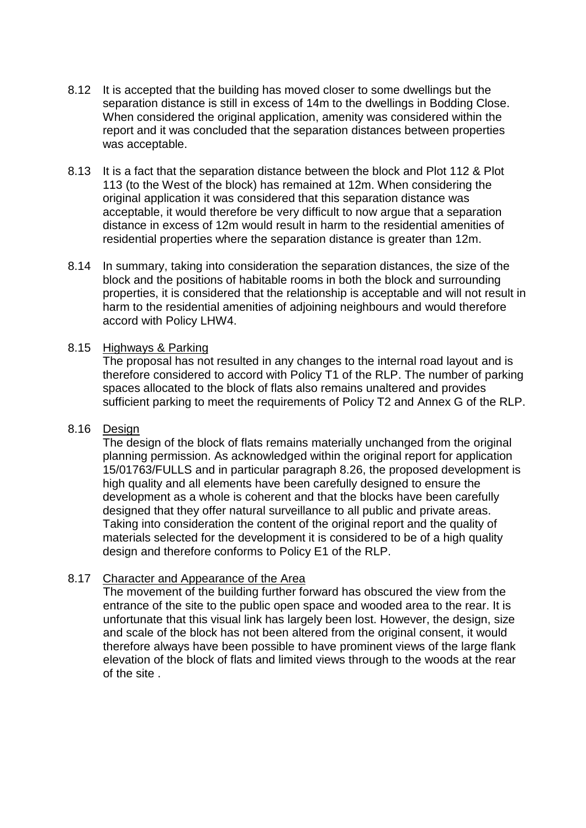- 8.12 It is accepted that the building has moved closer to some dwellings but the separation distance is still in excess of 14m to the dwellings in Bodding Close. When considered the original application, amenity was considered within the report and it was concluded that the separation distances between properties was acceptable.
- 8.13 It is a fact that the separation distance between the block and Plot 112 & Plot 113 (to the West of the block) has remained at 12m. When considering the original application it was considered that this separation distance was acceptable, it would therefore be very difficult to now argue that a separation distance in excess of 12m would result in harm to the residential amenities of residential properties where the separation distance is greater than 12m.
- 8.14 In summary, taking into consideration the separation distances, the size of the block and the positions of habitable rooms in both the block and surrounding properties, it is considered that the relationship is acceptable and will not result in harm to the residential amenities of adjoining neighbours and would therefore accord with Policy LHW4.

#### 8.15 Highways & Parking

The proposal has not resulted in any changes to the internal road layout and is therefore considered to accord with Policy T1 of the RLP. The number of parking spaces allocated to the block of flats also remains unaltered and provides sufficient parking to meet the requirements of Policy T2 and Annex G of the RLP.

# 8.16 Design

The design of the block of flats remains materially unchanged from the original planning permission. As acknowledged within the original report for application 15/01763/FULLS and in particular paragraph 8.26, the proposed development is high quality and all elements have been carefully designed to ensure the development as a whole is coherent and that the blocks have been carefully designed that they offer natural surveillance to all public and private areas. Taking into consideration the content of the original report and the quality of materials selected for the development it is considered to be of a high quality design and therefore conforms to Policy E1 of the RLP.

### 8.17 Character and Appearance of the Area

The movement of the building further forward has obscured the view from the entrance of the site to the public open space and wooded area to the rear. It is unfortunate that this visual link has largely been lost. However, the design, size and scale of the block has not been altered from the original consent, it would therefore always have been possible to have prominent views of the large flank elevation of the block of flats and limited views through to the woods at the rear of the site .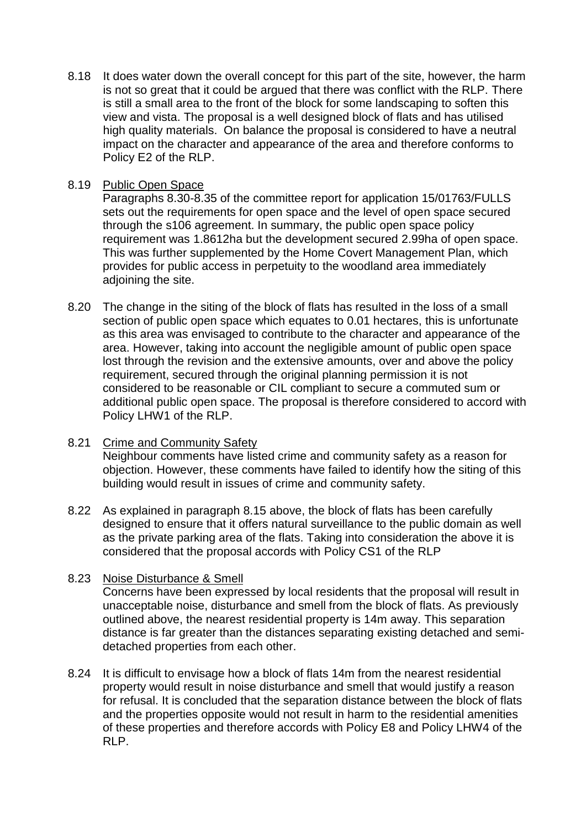8.18 It does water down the overall concept for this part of the site, however, the harm is not so great that it could be argued that there was conflict with the RLP. There is still a small area to the front of the block for some landscaping to soften this view and vista. The proposal is a well designed block of flats and has utilised high quality materials. On balance the proposal is considered to have a neutral impact on the character and appearance of the area and therefore conforms to Policy E2 of the RLP.

## 8.19 Public Open Space

Paragraphs 8.30-8.35 of the committee report for application 15/01763/FULLS sets out the requirements for open space and the level of open space secured through the s106 agreement. In summary, the public open space policy requirement was 1.8612ha but the development secured 2.99ha of open space. This was further supplemented by the Home Covert Management Plan, which provides for public access in perpetuity to the woodland area immediately adjoining the site.

- 8.20 The change in the siting of the block of flats has resulted in the loss of a small section of public open space which equates to 0.01 hectares, this is unfortunate as this area was envisaged to contribute to the character and appearance of the area. However, taking into account the negligible amount of public open space lost through the revision and the extensive amounts, over and above the policy requirement, secured through the original planning permission it is not considered to be reasonable or CIL compliant to secure a commuted sum or additional public open space. The proposal is therefore considered to accord with Policy LHW1 of the RLP.
- 8.21 Crime and Community Safety Neighbour comments have listed crime and community safety as a reason for objection. However, these comments have failed to identify how the siting of this building would result in issues of crime and community safety.
- 8.22 As explained in paragraph 8.15 above, the block of flats has been carefully designed to ensure that it offers natural surveillance to the public domain as well as the private parking area of the flats. Taking into consideration the above it is considered that the proposal accords with Policy CS1 of the RLP

### 8.23 Noise Disturbance & Smell

Concerns have been expressed by local residents that the proposal will result in unacceptable noise, disturbance and smell from the block of flats. As previously outlined above, the nearest residential property is 14m away. This separation distance is far greater than the distances separating existing detached and semidetached properties from each other.

8.24 It is difficult to envisage how a block of flats 14m from the nearest residential property would result in noise disturbance and smell that would justify a reason for refusal. It is concluded that the separation distance between the block of flats and the properties opposite would not result in harm to the residential amenities of these properties and therefore accords with Policy E8 and Policy LHW4 of the RLP.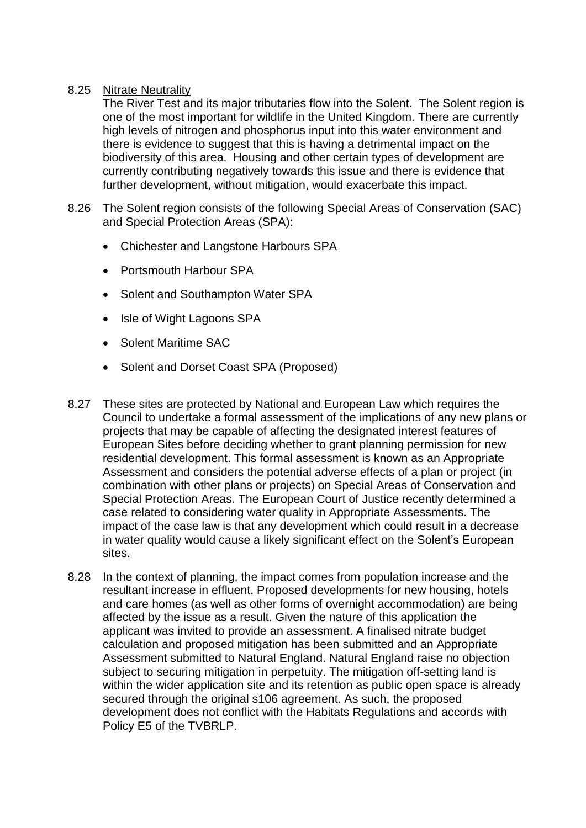## 8.25 Nitrate Neutrality

The River Test and its major tributaries flow into the Solent. The Solent region is one of the most important for wildlife in the United Kingdom. There are currently high levels of nitrogen and phosphorus input into this water environment and there is evidence to suggest that this is having a detrimental impact on the biodiversity of this area. Housing and other certain types of development are currently contributing negatively towards this issue and there is evidence that further development, without mitigation, would exacerbate this impact.

- 8.26 The Solent region consists of the following Special Areas of Conservation (SAC) and Special Protection Areas (SPA):
	- Chichester and Langstone Harbours SPA
	- Portsmouth Harbour SPA
	- Solent and Southampton Water SPA
	- Isle of Wight Lagoons SPA
	- Solent Maritime SAC
	- Solent and Dorset Coast SPA (Proposed)
- 8.27 These sites are protected by National and European Law which requires the Council to undertake a formal assessment of the implications of any new plans or projects that may be capable of affecting the designated interest features of European Sites before deciding whether to grant planning permission for new residential development. This formal assessment is known as an Appropriate Assessment and considers the potential adverse effects of a plan or project (in combination with other plans or projects) on Special Areas of Conservation and Special Protection Areas. The European Court of Justice recently determined a case related to considering water quality in Appropriate Assessments. The impact of the case law is that any development which could result in a decrease in water quality would cause a likely significant effect on the Solent's European sites.
- 8.28 In the context of planning, the impact comes from population increase and the resultant increase in effluent. Proposed developments for new housing, hotels and care homes (as well as other forms of overnight accommodation) are being affected by the issue as a result. Given the nature of this application the applicant was invited to provide an assessment. A finalised nitrate budget calculation and proposed mitigation has been submitted and an Appropriate Assessment submitted to Natural England. Natural England raise no objection subject to securing mitigation in perpetuity. The mitigation off-setting land is within the wider application site and its retention as public open space is already secured through the original s106 agreement. As such, the proposed development does not conflict with the Habitats Regulations and accords with Policy E5 of the TVBRLP.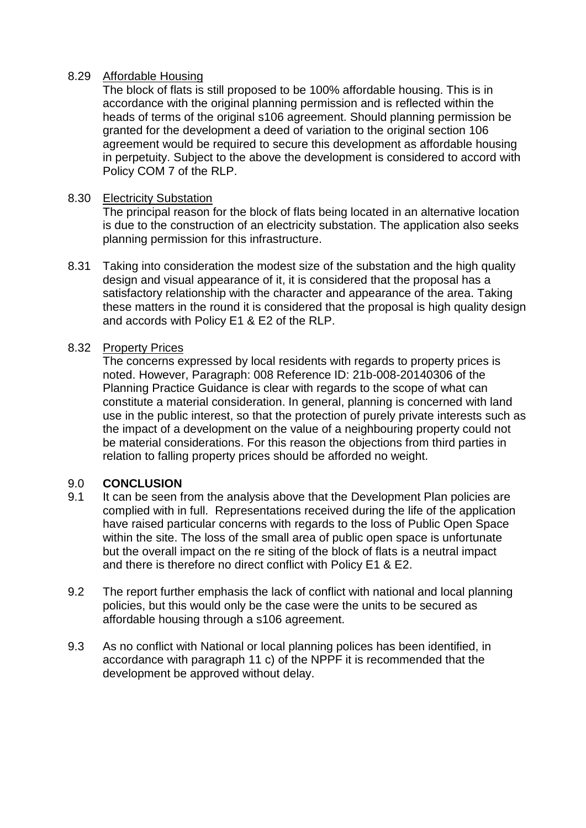### 8.29 Affordable Housing

The block of flats is still proposed to be 100% affordable housing. This is in accordance with the original planning permission and is reflected within the heads of terms of the original s106 agreement. Should planning permission be granted for the development a deed of variation to the original section 106 agreement would be required to secure this development as affordable housing in perpetuity. Subject to the above the development is considered to accord with Policy COM 7 of the RLP.

## 8.30 Electricity Substation

The principal reason for the block of flats being located in an alternative location is due to the construction of an electricity substation. The application also seeks planning permission for this infrastructure.

8.31 Taking into consideration the modest size of the substation and the high quality design and visual appearance of it, it is considered that the proposal has a satisfactory relationship with the character and appearance of the area. Taking these matters in the round it is considered that the proposal is high quality design and accords with Policy E1 & E2 of the RLP.

## 8.32 Property Prices

The concerns expressed by local residents with regards to property prices is noted. However, Paragraph: 008 Reference ID: 21b-008-20140306 of the Planning Practice Guidance is clear with regards to the scope of what can constitute a material consideration. In general, planning is concerned with land use in the public interest, so that the protection of purely private interests such as the impact of a development on the value of a neighbouring property could not be material considerations. For this reason the objections from third parties in relation to falling property prices should be afforded no weight.

# 9.0 **CONCLUSION**

- 9.1 It can be seen from the analysis above that the Development Plan policies are complied with in full. Representations received during the life of the application have raised particular concerns with regards to the loss of Public Open Space within the site. The loss of the small area of public open space is unfortunate but the overall impact on the re siting of the block of flats is a neutral impact and there is therefore no direct conflict with Policy E1 & E2.
- 9.2 The report further emphasis the lack of conflict with national and local planning policies, but this would only be the case were the units to be secured as affordable housing through a s106 agreement.
- 9.3 As no conflict with National or local planning polices has been identified, in accordance with paragraph 11 c) of the NPPF it is recommended that the development be approved without delay.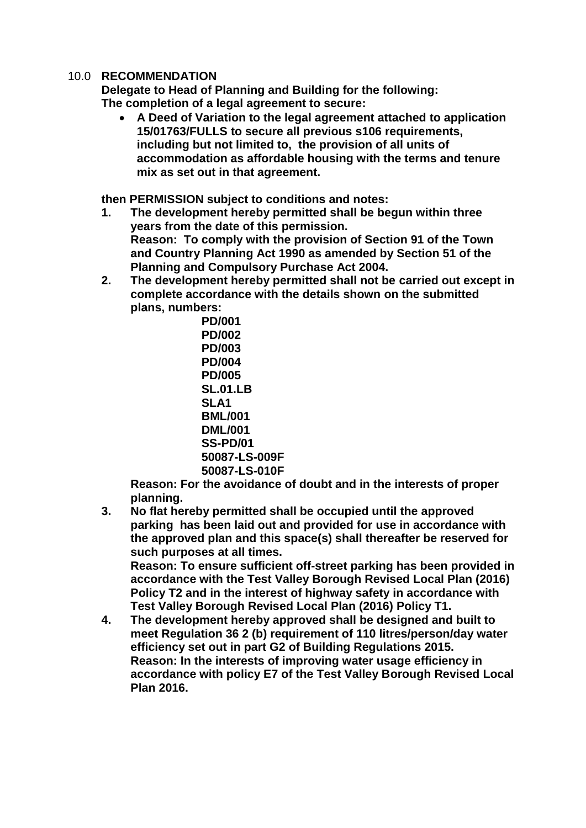### 10.0 **RECOMMENDATION**

**Delegate to Head of Planning and Building for the following: The completion of a legal agreement to secure:**

 **A Deed of Variation to the legal agreement attached to application 15/01763/FULLS to secure all previous s106 requirements, including but not limited to, the provision of all units of accommodation as affordable housing with the terms and tenure mix as set out in that agreement.**

**then PERMISSION subject to conditions and notes:**

- **1. The development hereby permitted shall be begun within three years from the date of this permission. Reason: To comply with the provision of Section 91 of the Town and Country Planning Act 1990 as amended by Section 51 of the Planning and Compulsory Purchase Act 2004.**
- **2. The development hereby permitted shall not be carried out except in complete accordance with the details shown on the submitted plans, numbers:**

**PD/001 PD/002 PD/003 PD/004 PD/005 SL.01.LB SLA1 BML/001 DML/001 SS-PD/01 50087-LS-009F 50087-LS-010F**

**Reason: For the avoidance of doubt and in the interests of proper planning.**

**3. No flat hereby permitted shall be occupied until the approved parking has been laid out and provided for use in accordance with the approved plan and this space(s) shall thereafter be reserved for such purposes at all times.**

**Reason: To ensure sufficient off-street parking has been provided in accordance with the Test Valley Borough Revised Local Plan (2016) Policy T2 and in the interest of highway safety in accordance with Test Valley Borough Revised Local Plan (2016) Policy T1.**

**4. The development hereby approved shall be designed and built to meet Regulation 36 2 (b) requirement of 110 litres/person/day water efficiency set out in part G2 of Building Regulations 2015. Reason: In the interests of improving water usage efficiency in accordance with policy E7 of the Test Valley Borough Revised Local Plan 2016.**